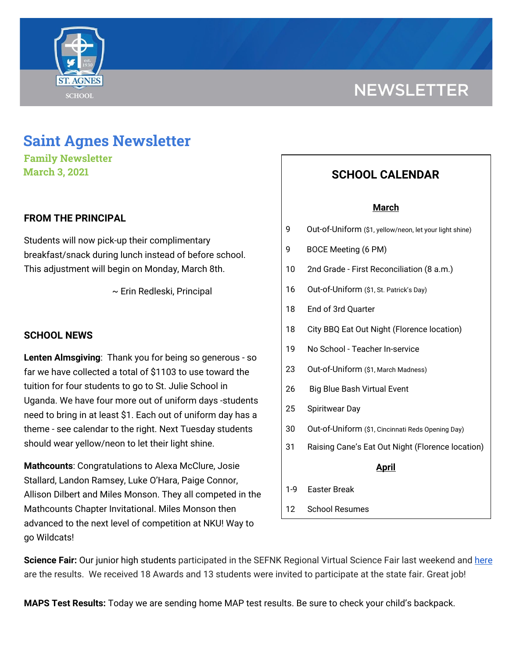



**Family Newsletter March 3, 2021**

## **FROM THE PRINCIPAL**

Students will now pick-up their complimentary breakfast/snack during lunch instead of before school. This adjustment will begin on Monday, March 8th.

~ Erin Redleski, Principal

### **SCHOOL NEWS**

**Lenten Almsgiving**: Thank you for being so generous - so far we have collected a total of \$1103 to use toward the tuition for four students to go to St. Julie School in Uganda. We have four more out of uniform days -students need to bring in at least \$1. Each out of uniform day has a theme - see calendar to the right. Next Tuesday students should wear yellow/neon to let their light shine.

**Mathcounts**: Congratulations to Alexa McClure, Josie Stallard, Landon Ramsey, Luke O'Hara, Paige Connor, Allison Dilbert and Miles Monson. They all competed in the Mathcounts Chapter Invitational. Miles Monson then advanced to the next level of competition at NKU! Way to go Wildcats!

# **SCHOOL CALENDAR**

#### **March**

- 9 Out-of-Uniform (\$1, yellow/neon, let your light shine)
- 9 BOCE Meeting (6 PM)
- 10 2nd Grade First Reconciliation (8 a.m.)
- 16 Out-of-Uniform (\$1, St. Patrick's Day)
- 18 End of 3rd Quarter
- 18 City BBQ Eat Out Night (Florence location)
- 19 No School Teacher In-service
- 23 Out-of-Uniform (\$1, March Madness)
- 26 Big Blue Bash Virtual Event
- 25 Spiritwear Day
- 30 Out-of-Uniform (\$1, Cincinnati Reds Opening Day)
- 31 Raising Cane's Eat Out Night (Florence location)

#### **April**

- 1-9 Easter Break
- 12 School Resumes

Science Fair: Our junior high students participated in the SEFNK Regional Virtual Science Fair last weekend and [here](https://school.saintagnes.com/wp-content/uploads/2021/03/St-Agnes-Regional-Science-Fair-Awards-2021.pdf) are the results. We received 18 Awards and 13 students were invited to participate at the state fair. Great job!

**MAPS Test Results:** Today we are sending home MAP test results. Be sure to check your child's backpack.

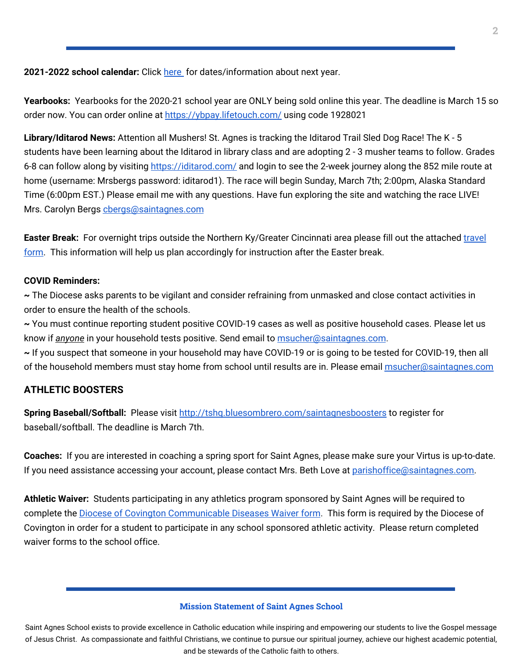**2021-2022 school calendar:** Click [here](https://school.saintagnes.com/wp-content/uploads/2021/02/2021-2022-School-Calendar-Parents.pdf) for dates/information about next year.

**Yearbooks:** Yearbooks for the 2020-21 school year are ONLY being sold online this year. The deadline is March 15 so order now. You can order online at <https://ybpay.lifetouch.com/> using code 1928021

**Library/Iditarod News:** Attention all Mushers! St. Agnes is tracking the Iditarod Trail Sled Dog Race! The K - 5 students have been learning about the Iditarod in library class and are adopting 2 - 3 musher teams to follow. Grades 6-8 can follow along by visiting <https://iditarod.com/> and login to see the 2-week journey along the 852 mile route at home (username: Mrsbergs password: iditarod1). The race will begin Sunday, March 7th; 2:00pm, Alaska Standard Time (6:00pm EST.) Please email me with any questions. Have fun exploring the site and watching the race LIVE! Mrs. Carolyn Bergs [cbergs@saintagnes.com](mailto:cbergs@saintagnes.com)

**Easter Break:** For overnight trips outside the Northern Ky/Greater Cincinnati area please fill out the attached [travel](https://docs.google.com/forms/d/1G4JmfFWk29Sxg_3O81r5EB0F7IYJyTofEAGJ9wd5aO4/edit?ts=5f985dbb&gxids=7628) [form](https://docs.google.com/forms/d/1G4JmfFWk29Sxg_3O81r5EB0F7IYJyTofEAGJ9wd5aO4/edit?ts=5f985dbb&gxids=7628). This information will help us plan accordingly for instruction after the Easter break.

## **COVID Reminders:**

**~** The Diocese asks parents to be vigilant and consider refraining from unmasked and close contact activities in order to ensure the health of the schools.

**~** You must continue reporting student positive COVID-19 cases as well as positive household cases. Please let us know if *anyone* in your household tests positive. Send email to [msucher@saintagnes.com](mailto:msucher@saintagnes.com).

**~** If you suspect that someone in your household may have COVID-19 or is going to be tested for COVID-19, then all of the household members must stay home from school until results are in. Please email [msucher@saintagnes.com](mailto:msucher@saintagnes.com)

## **ATHLETIC BOOSTERS**

**Spring Baseball/Softball:** Please visit <http://tshq.bluesombrero.com/saintagnesboosters> to register for baseball/softball. The deadline is March 7th.

**Coaches:** If you are interested in coaching a spring sport for Saint Agnes, please make sure your Virtus is up-to-date. If you need assistance accessing your account, please contact Mrs. Beth Love at [parishoffice@saintagnes.com.](mailto:parishoffice@saintagnes.com)

**Athletic Waiver:** Students participating in any athletics program sponsored by Saint Agnes will be required to complete the **Diocese of Covington [Communicable](https://school.saintagnes.com/wp-content/uploads/2021/02/Sports-COVID-19-Waiver-2021.pdf) Diseases Waiver form**. This form is required by the Diocese of Covington in order for a student to participate in any school sponsored athletic activity. Please return completed waiver forms to the school office.

#### **Mission Statement of Saint Agnes School**

Saint Agnes School exists to provide excellence in Catholic education while inspiring and empowering our students to live the Gospel message of Jesus Christ. As compassionate and faithful Christians, we continue to pursue our spiritual journey, achieve our highest academic potential, and be stewards of the Catholic faith to others.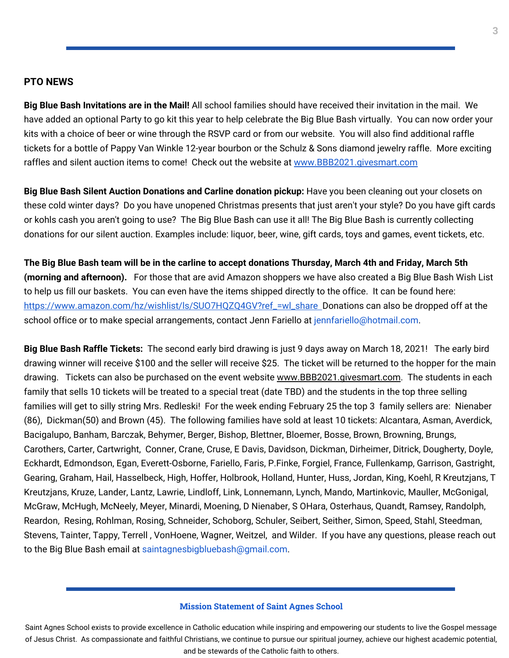#### **PTO NEWS**

**Big Blue Bash Invitations are in the Mail!** All school families should have received their invitation in the mail. We have added an optional Party to go kit this year to help celebrate the Big Blue Bash virtually. You can now order your kits with a choice of beer or wine through the RSVP card or from our website. You will also find additional raffle tickets for a bottle of Pappy Van Winkle 12-year bourbon or the Schulz & Sons diamond jewelry raffle. More exciting raffles and silent auction items to come! Check out the website at [www.BBB2021.givesmart.com](http://www.bbb2021.givesmart.com/)

**Big Blue Bash Silent Auction Donations and Carline donation pickup:** Have you been cleaning out your closets on these cold winter days? Do you have unopened Christmas presents that just aren't your style? Do you have gift cards or kohls cash you aren't going to use? The Big Blue Bash can use it all! The Big Blue Bash is currently collecting donations for our silent auction. Examples include: liquor, beer, wine, gift cards, toys and games, event tickets, etc.

The Big Blue Bash team will be in the carline to accept donations Thursday, March 4th and Friday, March 5th **(morning and afternoon).** For those that are avid Amazon shoppers we have also created a Big Blue Bash Wish List to help us fill our baskets. You can even have the items shipped directly to the office. It can be found here: [https://www.amazon.com/hz/wishlist/ls/SUO7HQZQ4GV?ref\\_=wl\\_share](https://www.amazon.com/hz/wishlist/ls/SUO7HQZQ4GV?ref_=wl_share) Donations can also be dropped off at the school office or to make special arrangements, contact Jenn Fariello at jennfariello@hotmail.com.

**Big Blue Bash Raffle Tickets:** The second early bird drawing is just 9 days away on March 18, 2021! The early bird drawing winner will receive \$100 and the seller will receive \$25. The ticket will be returned to the hopper for the main drawing. Tickets can also be purchased on the event website [www.BBB2021.givesmart.com](http://www.bbb2021.givesmart.com/). The students in each family that sells 10 tickets will be treated to a special treat (date TBD) and the students in the top three selling families will get to silly string Mrs. Redleski! For the week ending February 25 the top 3 family sellers are: Nienaber (86), Dickman(50) and Brown (45). The following families have sold at least 10 tickets: Alcantara, Asman, Averdick, Bacigalupo, Banham, Barczak, Behymer, Berger, Bishop, Blettner, Bloemer, Bosse, Brown, Browning, Brungs, Carothers, Carter, Cartwright, Conner, Crane, Cruse, E Davis, Davidson, Dickman, Dirheimer, Ditrick, Dougherty, Doyle, Eckhardt, Edmondson, Egan, Everett-Osborne, Fariello, Faris, P.Finke, Forgiel, France, Fullenkamp, Garrison, Gastright, Gearing, Graham, Hail, Hasselbeck, High, Hoffer, Holbrook, Holland, Hunter, Huss, Jordan, King, Koehl, R Kreutzjans, T Kreutzjans, Kruze, Lander, Lantz, Lawrie, Lindloff, Link, Lonnemann, Lynch, Mando, Martinkovic, Mauller, McGonigal, McGraw, McHugh, McNeely, Meyer, Minardi, Moening, D Nienaber, S OHara, Osterhaus, Quandt, Ramsey, Randolph, Reardon, Resing, Rohlman, Rosing, Schneider, Schoborg, Schuler, Seibert, Seither, Simon, Speed, Stahl, Steedman, Stevens, Tainter, Tappy, Terrell , VonHoene, Wagner, Weitzel, and Wilder. If you have any questions, please reach out to the Big Blue Bash email at saintagnesbigbluebash@gmail.com.

#### **Mission Statement of Saint Agnes School**

Saint Agnes School exists to provide excellence in Catholic education while inspiring and empowering our students to live the Gospel message of Jesus Christ. As compassionate and faithful Christians, we continue to pursue our spiritual journey, achieve our highest academic potential, and be stewards of the Catholic faith to others.